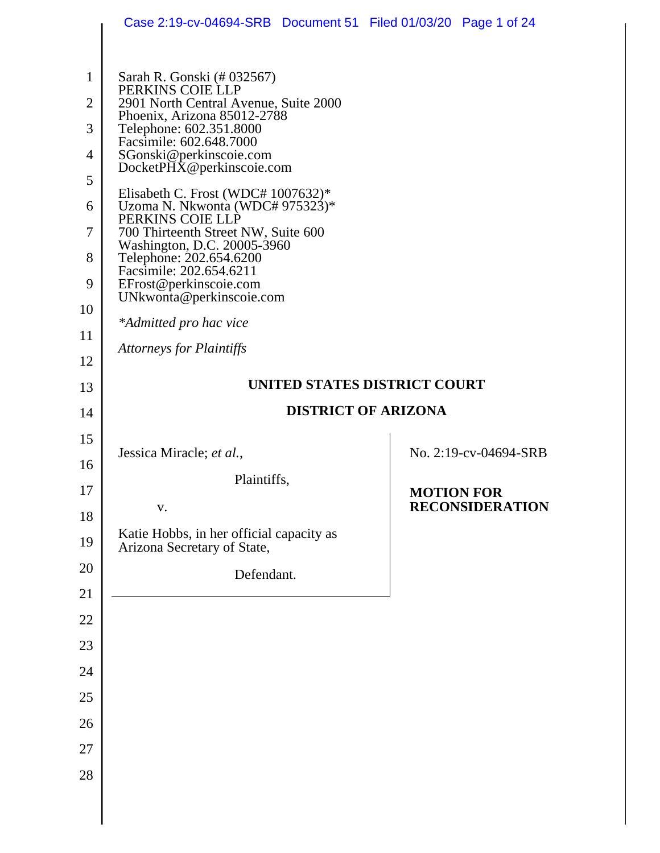|                                                                                     | Case 2:19-cv-04694-SRB  Document 51  Filed 01/03/20  Page 1 of 24                                                                                                                                                                                                                                                                                                                                                                                                                                                                                                                       |                                             |
|-------------------------------------------------------------------------------------|-----------------------------------------------------------------------------------------------------------------------------------------------------------------------------------------------------------------------------------------------------------------------------------------------------------------------------------------------------------------------------------------------------------------------------------------------------------------------------------------------------------------------------------------------------------------------------------------|---------------------------------------------|
| $\mathbf{1}$<br>$\overline{2}$<br>3<br>4<br>5<br>6<br>7<br>8<br>9<br>10<br>11<br>12 | Sarah R. Gonski (# 032567)<br>PERKINS COIE LLP<br>2901 North Central Avenue, Suite 2000<br>Phoenix, Arizona 85012-2788<br>Telephone: 602.351.8000<br>Facsimile: 602.648.7000<br>SGonski@perkinscoie.com<br>Docket $PHX@$ perkinscoie.com<br>Elisabeth C. Frost (WDC# $1007632$ )*<br>Uzoma N. Nkwonta (WDC# 975323)*<br>PERKINS COIE LLP<br>700 Thirteenth Street NW, Suite 600<br>Washington, D.C. 20005-3960<br>Telephone: 202.654.6200<br>Facsimile: 202.654.6211<br>EFrost@perkinscoie.com<br>UNkwonta@perkinscoie.com<br>*Admitted pro hac vice<br><b>Attorneys for Plaintiffs</b> |                                             |
| 13                                                                                  | UNITED STATES DISTRICT COURT                                                                                                                                                                                                                                                                                                                                                                                                                                                                                                                                                            |                                             |
| 14                                                                                  | <b>DISTRICT OF ARIZONA</b>                                                                                                                                                                                                                                                                                                                                                                                                                                                                                                                                                              |                                             |
|                                                                                     |                                                                                                                                                                                                                                                                                                                                                                                                                                                                                                                                                                                         |                                             |
| 15                                                                                  | Jessica Miracle; et al.,                                                                                                                                                                                                                                                                                                                                                                                                                                                                                                                                                                | No. 2:19-cv-04694-SRB                       |
| 16<br>17                                                                            | Plaintiffs,<br>${\bf V}$ .                                                                                                                                                                                                                                                                                                                                                                                                                                                                                                                                                              | <b>MOTION FOR</b><br><b>RECONSIDERATION</b> |
| 18<br>19                                                                            | Katie Hobbs, in her official capacity as                                                                                                                                                                                                                                                                                                                                                                                                                                                                                                                                                |                                             |
| 20                                                                                  | Arizona Secretary of State,<br>Defendant.                                                                                                                                                                                                                                                                                                                                                                                                                                                                                                                                               |                                             |
| 21                                                                                  |                                                                                                                                                                                                                                                                                                                                                                                                                                                                                                                                                                                         |                                             |
| 22                                                                                  |                                                                                                                                                                                                                                                                                                                                                                                                                                                                                                                                                                                         |                                             |
| 23                                                                                  |                                                                                                                                                                                                                                                                                                                                                                                                                                                                                                                                                                                         |                                             |
| 24                                                                                  |                                                                                                                                                                                                                                                                                                                                                                                                                                                                                                                                                                                         |                                             |
| 25                                                                                  |                                                                                                                                                                                                                                                                                                                                                                                                                                                                                                                                                                                         |                                             |
| 26                                                                                  |                                                                                                                                                                                                                                                                                                                                                                                                                                                                                                                                                                                         |                                             |
| 27<br>28                                                                            |                                                                                                                                                                                                                                                                                                                                                                                                                                                                                                                                                                                         |                                             |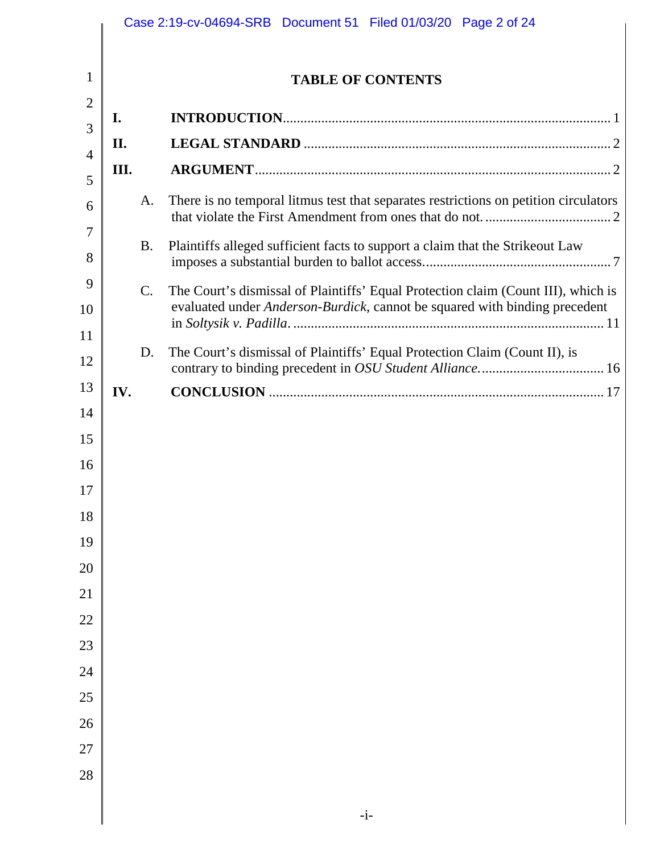|                 | <b>TABLE OF CONTENTS</b>                                                                                                                                        |
|-----------------|-----------------------------------------------------------------------------------------------------------------------------------------------------------------|
| I.              |                                                                                                                                                                 |
| II.             |                                                                                                                                                                 |
| III.            |                                                                                                                                                                 |
| A.              | There is no temporal litmus test that separates restrictions on petition circulators                                                                            |
| <b>B.</b>       | Plaintiffs alleged sufficient facts to support a claim that the Strikeout Law                                                                                   |
| $\mathcal{C}$ . | The Court's dismissal of Plaintiffs' Equal Protection claim (Count III), which is<br>evaluated under Anderson-Burdick, cannot be squared with binding precedent |
| D.              | The Court's dismissal of Plaintiffs' Equal Protection Claim (Count II), is                                                                                      |
| IV.             |                                                                                                                                                                 |
|                 |                                                                                                                                                                 |
|                 |                                                                                                                                                                 |
|                 |                                                                                                                                                                 |
|                 |                                                                                                                                                                 |
|                 |                                                                                                                                                                 |
|                 |                                                                                                                                                                 |
|                 |                                                                                                                                                                 |
|                 |                                                                                                                                                                 |
|                 |                                                                                                                                                                 |
|                 |                                                                                                                                                                 |
|                 |                                                                                                                                                                 |
|                 |                                                                                                                                                                 |
|                 |                                                                                                                                                                 |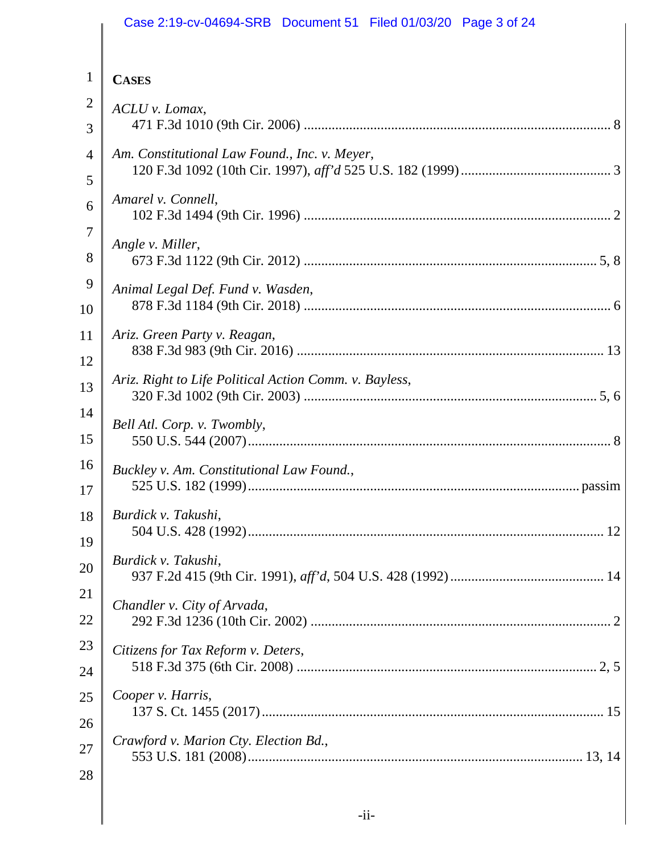|                | Case 2:19-cv-04694-SRB  Document 51  Filed 01/03/20  Page 3 of 24 |
|----------------|-------------------------------------------------------------------|
| $\mathbf{1}$   | <b>CASES</b>                                                      |
| $\overline{2}$ | ACLU v. Lomax,                                                    |
| 3              |                                                                   |
| $\overline{4}$ | Am. Constitutional Law Found., Inc. v. Meyer,                     |
| 5              |                                                                   |
| 6              | Amarel v. Connell,                                                |
| 7              | Angle v. Miller,                                                  |
| 8              |                                                                   |
| 9              | Animal Legal Def. Fund v. Wasden,                                 |
| 10             |                                                                   |
| 11             | Ariz. Green Party v. Reagan,                                      |
| 12             | Ariz. Right to Life Political Action Comm. v. Bayless,            |
| 13             |                                                                   |
| 14             | Bell Atl. Corp. v. Twombly,                                       |
| 15             |                                                                   |
| 16             | Buckley v. Am. Constitutional Law Found.,                         |
| 17             |                                                                   |
| 18             | Burdick v. Takushi,                                               |
| 19             | Burdick v. Takushi,                                               |
| 20             |                                                                   |
| 21             | Chandler v. City of Arvada,                                       |
| 22             |                                                                   |
| 23             | Citizens for Tax Reform v. Deters,                                |
| 24             |                                                                   |
| 25             | Cooper v. Harris,                                                 |
| 26<br>27<br>28 | Crawford v. Marion Cty. Election Bd.,                             |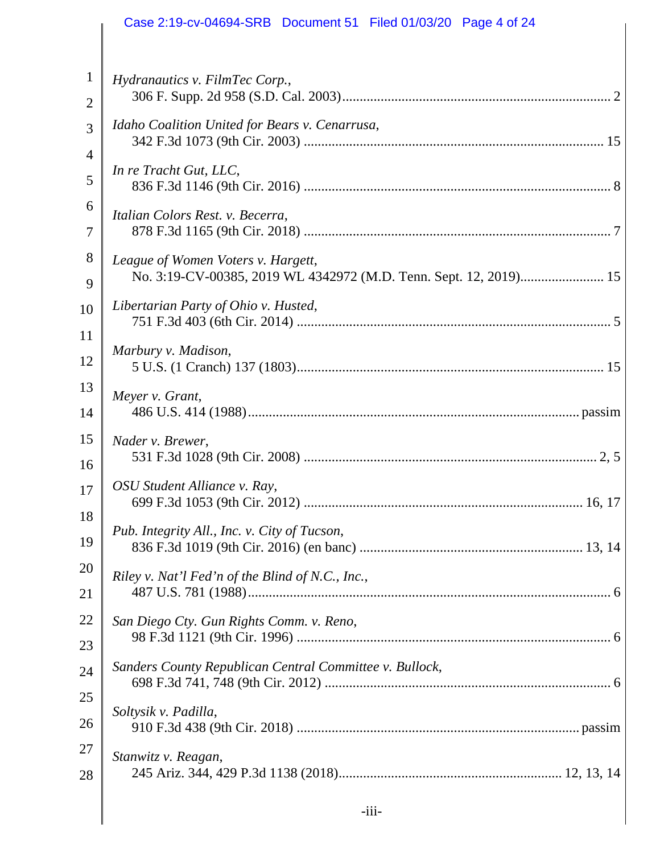|                                | Case 2:19-cv-04694-SRB  Document 51  Filed 01/03/20  Page 4 of 24 |
|--------------------------------|-------------------------------------------------------------------|
|                                |                                                                   |
| $\mathbf{1}$<br>$\overline{2}$ | Hydranautics v. FilmTec Corp.,                                    |
| 3                              | Idaho Coalition United for Bears v. Cenarrusa,                    |
| 4                              | In re Tracht Gut, LLC,                                            |
| 5                              |                                                                   |
| 6<br>7                         | Italian Colors Rest. v. Becerra,                                  |
| 8<br>9                         | League of Women Voters v. Hargett,                                |
| 10                             | Libertarian Party of Ohio v. Husted,                              |
| 11<br>12                       | Marbury v. Madison,                                               |
| 13<br>14                       | Meyer v. Grant,                                                   |
| 15<br>16                       | Nader v. Brewer,                                                  |
| 17                             | OSU Student Alliance v. Ray,                                      |
| 18<br>19                       | Pub. Integrity All., Inc. v. City of Tucson,                      |
| 20<br>21                       | Riley v. Nat'l Fed'n of the Blind of N.C., Inc.,                  |
| 22                             | San Diego Cty. Gun Rights Comm. v. Reno,                          |
| 23<br>24                       | Sanders County Republican Central Committee v. Bullock,           |
| 25                             | Soltysik v. Padilla,                                              |
| 26                             |                                                                   |
| 27<br>28                       | Stanwitz v. Reagan,                                               |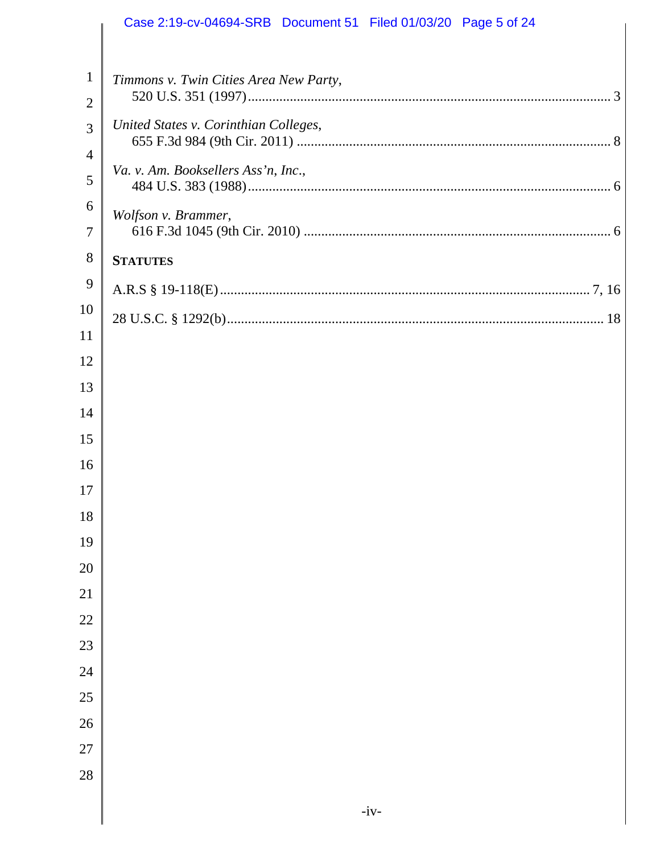|                                | Case 2:19-cv-04694-SRB  Document 51  Filed 01/03/20  Page 5 of 24 |
|--------------------------------|-------------------------------------------------------------------|
|                                |                                                                   |
| $\mathbf{1}$<br>$\overline{2}$ | Timmons v. Twin Cities Area New Party,                            |
| 3                              | United States v. Corinthian Colleges,                             |
| $\overline{4}$                 |                                                                   |
| 5                              | Va. v. Am. Booksellers Ass'n, Inc.,                               |
| 6                              | Wolfson v. Brammer,                                               |
| $\overline{7}$                 |                                                                   |
| 8                              | <b>STATUTES</b>                                                   |
| 9                              |                                                                   |
| 10                             |                                                                   |
| 11                             |                                                                   |
| 12                             |                                                                   |
| 13                             |                                                                   |
| 14                             |                                                                   |
| 15                             |                                                                   |
| 16                             |                                                                   |
| 17<br>18                       |                                                                   |
| 19                             |                                                                   |
| 20                             |                                                                   |
| 21                             |                                                                   |
| $22\,$                         |                                                                   |
| 23                             |                                                                   |
| 24                             |                                                                   |
| 25                             |                                                                   |
| 26                             |                                                                   |
| $27\,$                         |                                                                   |
| 28                             |                                                                   |
|                                |                                                                   |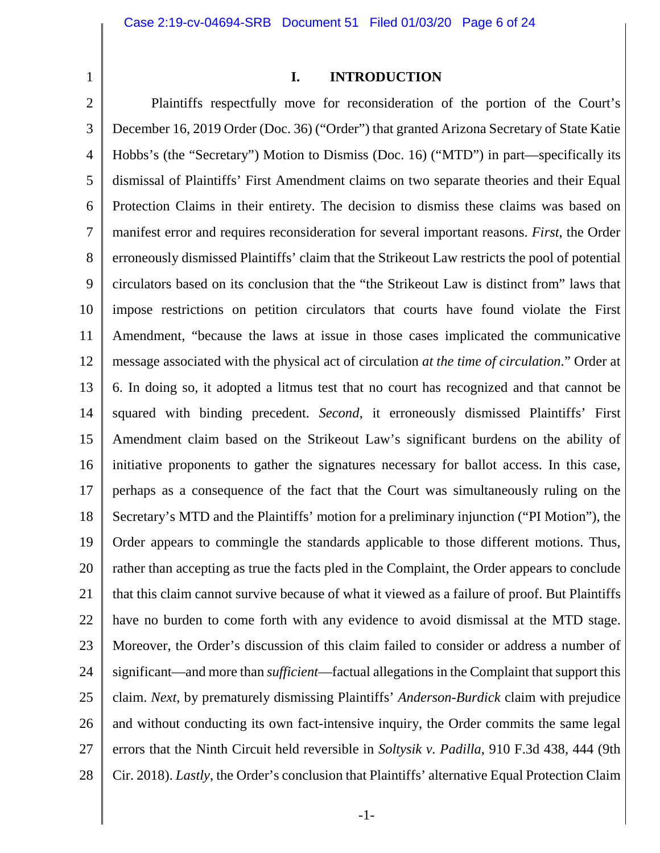<span id="page-5-0"></span>1

# <span id="page-5-1"></span>**I. INTRODUCTION**

2 3 4 5 6 7 8 9 10 11 12 13 14 15 16 17 18 19 20 21 22 23 24 25 26 27 28 Plaintiffs respectfully move for reconsideration of the portion of the Court's December 16, 2019 Order (Doc. 36) ("Order") that granted Arizona Secretary of State Katie Hobbs's (the "Secretary") Motion to Dismiss (Doc. 16) ("MTD") in part—specifically its dismissal of Plaintiffs' First Amendment claims on two separate theories and their Equal Protection Claims in their entirety. The decision to dismiss these claims was based on manifest error and requires reconsideration for several important reasons. *First*, the Order erroneously dismissed Plaintiffs' claim that the Strikeout Law restricts the pool of potential circulators based on its conclusion that the "the Strikeout Law is distinct from" laws that impose restrictions on petition circulators that courts have found violate the First Amendment, "because the laws at issue in those cases implicated the communicative message associated with the physical act of circulation *at the time of circulation*." Order at 6. In doing so, it adopted a litmus test that no court has recognized and that cannot be squared with binding precedent. *Second*, it erroneously dismissed Plaintiffs' First Amendment claim based on the Strikeout Law's significant burdens on the ability of initiative proponents to gather the signatures necessary for ballot access. In this case, perhaps as a consequence of the fact that the Court was simultaneously ruling on the Secretary's MTD and the Plaintiffs' motion for a preliminary injunction ("PI Motion"), the Order appears to commingle the standards applicable to those different motions. Thus, rather than accepting as true the facts pled in the Complaint, the Order appears to conclude that this claim cannot survive because of what it viewed as a failure of proof. But Plaintiffs have no burden to come forth with any evidence to avoid dismissal at the MTD stage. Moreover, the Order's discussion of this claim failed to consider or address a number of significant—and more than *sufficient*—factual allegations in the Complaint that support this claim. *Next*, by prematurely dismissing Plaintiffs' *Anderson-Burdick* claim with prejudice and without conducting its own fact-intensive inquiry, the Order commits the same legal errors that the Ninth Circuit held reversible in *Soltysik v. Padilla*, 910 F.3d 438, 444 (9th Cir. 2018). *Lastly*, the Order's conclusion that Plaintiffs' alternative Equal Protection Claim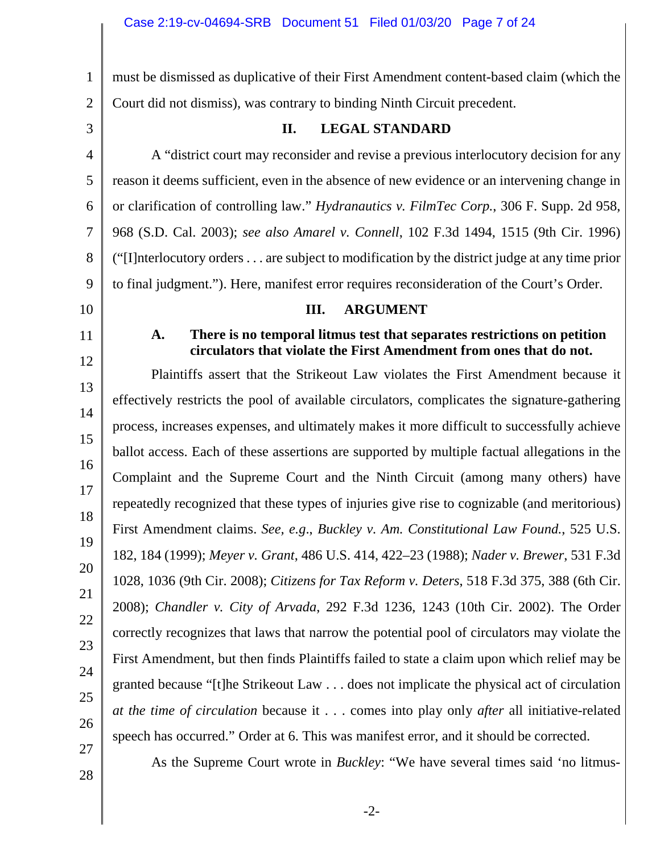1 2 must be dismissed as duplicative of their First Amendment content-based claim (which the Court did not dismiss), was contrary to binding Ninth Circuit precedent.

<span id="page-6-0"></span>3 4 5

6

7

8

# <span id="page-6-7"></span>**II. LEGAL STANDARD**

A "district court may reconsider and revise a previous interlocutory decision for any reason it deems sufficient, even in the absence of new evidence or an intervening change in or clarification of controlling law." *Hydranautics v. FilmTec Corp.*, 306 F. Supp. 2d 958, 968 (S.D. Cal. 2003); *see also Amarel v. Connell*, 102 F.3d 1494, 1515 (9th Cir. 1996) ("[I]nterlocutory orders . . . are subject to modification by the district judge at any time prior to final judgment."). Here, manifest error requires reconsideration of the Court's Order.

10

<span id="page-6-2"></span>11

<span id="page-6-1"></span>9

## <span id="page-6-9"></span><span id="page-6-4"></span><span id="page-6-3"></span>**III. ARGUMENT**

# **A. There is no temporal litmus test that separates restrictions on petition circulators that violate the First Amendment from ones that do not.**

12 13 14 15 16 17 18 19 20 22 23 24 25 26 27 Plaintiffs assert that the Strikeout Law violates the First Amendment because it effectively restricts the pool of available circulators, complicates the signature-gathering process, increases expenses, and ultimately makes it more difficult to successfully achieve ballot access. Each of these assertions are supported by multiple factual allegations in the Complaint and the Supreme Court and the Ninth Circuit (among many others) have repeatedly recognized that these types of injuries give rise to cognizable (and meritorious) First Amendment claims. *See, e.g*., *Buckley v. Am. Constitutional Law Found.*, 525 U.S. 182, 184 (1999); *Meyer v. Grant*, 486 U.S. 414, 422–23 (1988); *Nader v. Brewer*, 531 F.3d 1028, 1036 (9th Cir. 2008); *Citizens for Tax Reform v. Deters*, 518 F.3d 375, 388 (6th Cir. 2008); *Chandler v. City of Arvada*, 292 F.3d 1236, 1243 (10th Cir. 2002). The Order correctly recognizes that laws that narrow the potential pool of circulators may violate the First Amendment, but then finds Plaintiffs failed to state a claim upon which relief may be granted because "[t]he Strikeout Law . . . does not implicate the physical act of circulation *at the time of circulation* because it . . . comes into play only *after* all initiative-related speech has occurred." Order at 6. This was manifest error, and it should be corrected.

28

<span id="page-6-8"></span><span id="page-6-6"></span><span id="page-6-5"></span>21

As the Supreme Court wrote in *Buckley*: "We have several times said 'no litmus-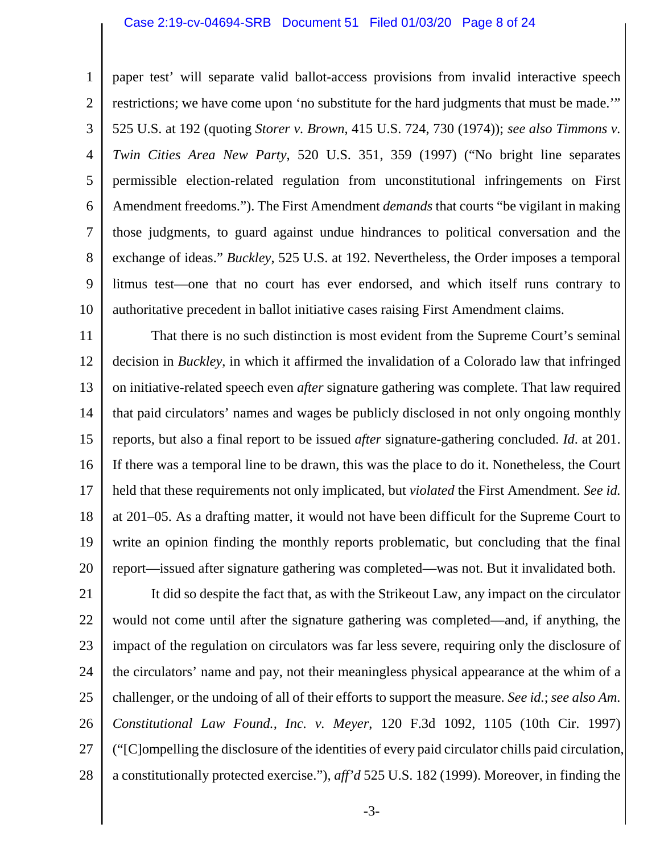#### <span id="page-7-1"></span>Case 2:19-cv-04694-SRB Document 51 Filed 01/03/20 Page 8 of 24

1 2 3 4 5 6 7 8 9 10 paper test' will separate valid ballot-access provisions from invalid interactive speech restrictions; we have come upon 'no substitute for the hard judgments that must be made.'" 525 U.S. at 192 (quoting *Storer v. Brown*, 415 U.S. 724, 730 (1974)); *see also Timmons v. Twin Cities Area New Party*, 520 U.S. 351, 359 (1997) ("No bright line separates permissible election-related regulation from unconstitutional infringements on First Amendment freedoms."). The First Amendment *demands* that courts "be vigilant in making those judgments, to guard against undue hindrances to political conversation and the exchange of ideas." *Buckley*, 525 U.S. at 192. Nevertheless, the Order imposes a temporal litmus test—one that no court has ever endorsed, and which itself runs contrary to authoritative precedent in ballot initiative cases raising First Amendment claims.

11 12 13 14 15 16 17 18 19 20 That there is no such distinction is most evident from the Supreme Court's seminal decision in *Buckley*, in which it affirmed the invalidation of a Colorado law that infringed on initiative-related speech even *after* signature gathering was complete. That law required that paid circulators' names and wages be publicly disclosed in not only ongoing monthly reports, but also a final report to be issued *after* signature-gathering concluded. *Id*. at 201. If there was a temporal line to be drawn, this was the place to do it. Nonetheless, the Court held that these requirements not only implicated, but *violated* the First Amendment. *See id.* at 201–05. As a drafting matter, it would not have been difficult for the Supreme Court to write an opinion finding the monthly reports problematic, but concluding that the final report—issued after signature gathering was completed—was not. But it invalidated both.

21 22 23 24 25 26 27 28 It did so despite the fact that, as with the Strikeout Law, any impact on the circulator would not come until after the signature gathering was completed—and, if anything, the impact of the regulation on circulators was far less severe, requiring only the disclosure of the circulators' name and pay, not their meaningless physical appearance at the whim of a challenger, or the undoing of all of their efforts to support the measure. *See id.*; *see also Am. Constitutional Law Found., Inc. v. Meyer*, 120 F.3d 1092, 1105 (10th Cir. 1997) ("[C]ompelling the disclosure of the identities of every paid circulator chills paid circulation, a constitutionally protected exercise."), *aff'd* 525 U.S. 182 (1999). Moreover, in finding the

<span id="page-7-0"></span>-3-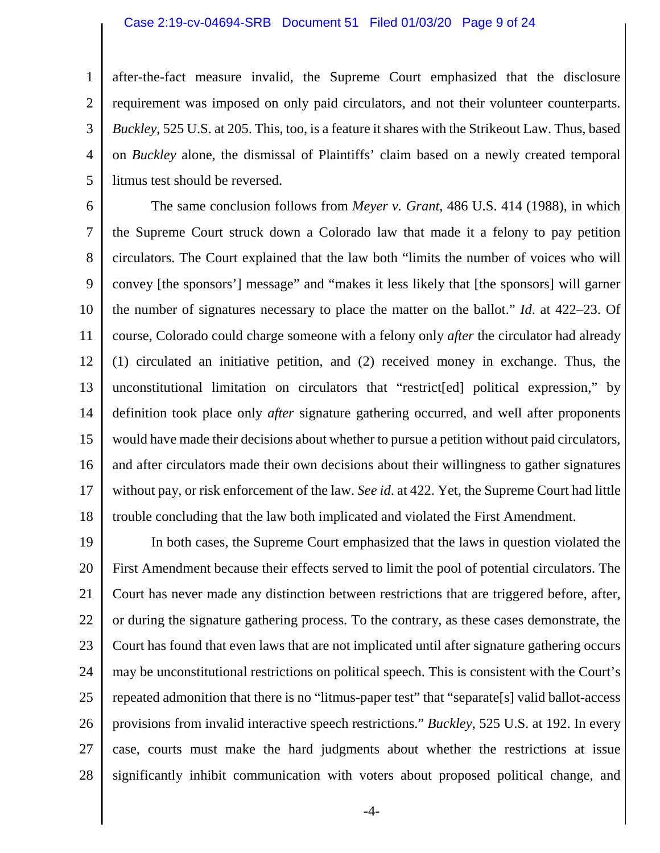#### Case 2:19-cv-04694-SRB Document 51 Filed 01/03/20 Page 9 of 24

1 2 3 4 5 after-the-fact measure invalid, the Supreme Court emphasized that the disclosure requirement was imposed on only paid circulators, and not their volunteer counterparts. *Buckley*, 525 U.S. at 205. This, too, is a feature it shares with the Strikeout Law. Thus, based on *Buckley* alone, the dismissal of Plaintiffs' claim based on a newly created temporal litmus test should be reversed.

6 7 8 9 10 11 12 13 14 15 16 17 18 The same conclusion follows from *Meyer v. Grant*, 486 U.S. 414 (1988), in which the Supreme Court struck down a Colorado law that made it a felony to pay petition circulators. The Court explained that the law both "limits the number of voices who will convey [the sponsors'] message" and "makes it less likely that [the sponsors] will garner the number of signatures necessary to place the matter on the ballot." *Id*. at 422–23. Of course, Colorado could charge someone with a felony only *after* the circulator had already (1) circulated an initiative petition, and (2) received money in exchange. Thus, the unconstitutional limitation on circulators that "restrict[ed] political expression," by definition took place only *after* signature gathering occurred, and well after proponents would have made their decisions about whether to pursue a petition without paid circulators, and after circulators made their own decisions about their willingness to gather signatures without pay, or risk enforcement of the law. *See id*. at 422. Yet, the Supreme Court had little trouble concluding that the law both implicated and violated the First Amendment.

19 20 21 22 23 24 25 26 27 28 In both cases, the Supreme Court emphasized that the laws in question violated the First Amendment because their effects served to limit the pool of potential circulators. The Court has never made any distinction between restrictions that are triggered before, after, or during the signature gathering process. To the contrary, as these cases demonstrate, the Court has found that even laws that are not implicated until after signature gathering occurs may be unconstitutional restrictions on political speech. This is consistent with the Court's repeated admonition that there is no "litmus-paper test" that "separate[s] valid ballot-access provisions from invalid interactive speech restrictions." *Buckley*, 525 U.S. at 192. In every case, courts must make the hard judgments about whether the restrictions at issue significantly inhibit communication with voters about proposed political change, and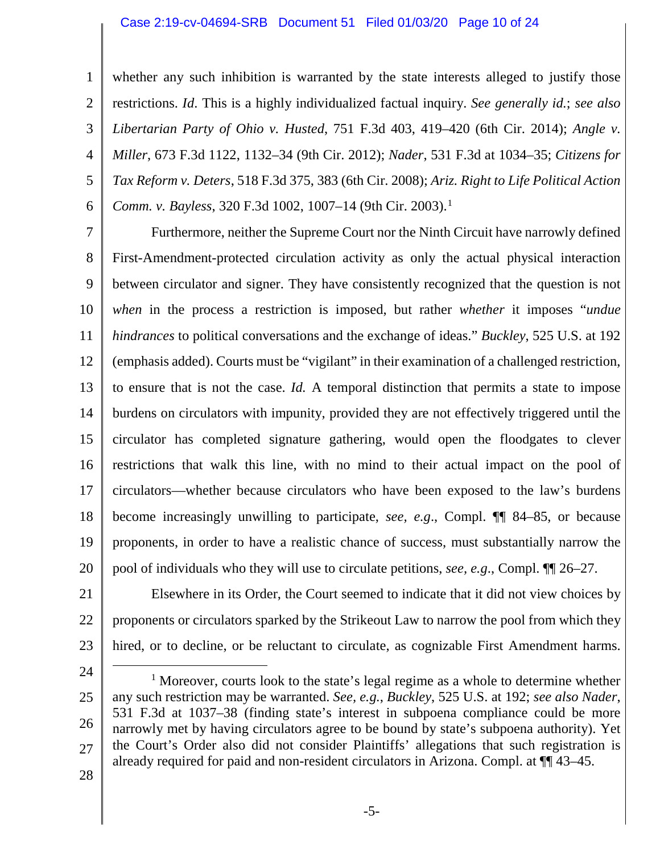### <span id="page-9-4"></span><span id="page-9-2"></span><span id="page-9-1"></span><span id="page-9-0"></span>Case 2:19-cv-04694-SRB Document 51 Filed 01/03/20 Page 10 of 24

<span id="page-9-3"></span>1 2 3 4 5 6 whether any such inhibition is warranted by the state interests alleged to justify those restrictions. *Id*. This is a highly individualized factual inquiry. *See generally id.*; *see also Libertarian Party of Ohio v. Husted*, 751 F.3d 403, 419–420 (6th Cir. 2014); *Angle v. Miller*, 673 F.3d 1122, 1132–34 (9th Cir. 2012); *Nader*, 531 F.3d at 1034–35; *Citizens for Tax Reform v. Deters*, 518 F.3d 375, 383 (6th Cir. 2008); *Ariz. Right to Life Political Action Comm. v. Bayless*, 320 F.3d 1002, 1007–14 (9th Cir. 2003). [1](#page-9-5)

7 8 9 10 11 12 13 14 15 16 17 18 19 20 Furthermore, neither the Supreme Court nor the Ninth Circuit have narrowly defined First-Amendment-protected circulation activity as only the actual physical interaction between circulator and signer. They have consistently recognized that the question is not *when* in the process a restriction is imposed, but rather *whether* it imposes "*undue hindrances* to political conversations and the exchange of ideas." *Buckley*, 525 U.S. at 192 (emphasis added). Courts must be "vigilant" in their examination of a challenged restriction, to ensure that is not the case. *Id.* A temporal distinction that permits a state to impose burdens on circulators with impunity, provided they are not effectively triggered until the circulator has completed signature gathering, would open the floodgates to clever restrictions that walk this line, with no mind to their actual impact on the pool of circulators—whether because circulators who have been exposed to the law's burdens become increasingly unwilling to participate, *see, e.g*., Compl. ¶¶ 84–85, or because proponents, in order to have a realistic chance of success, must substantially narrow the pool of individuals who they will use to circulate petitions, *see, e.g*., Compl. ¶¶ 26–27.

21 22 23 Elsewhere in its Order, the Court seemed to indicate that it did not view choices by proponents or circulators sparked by the Strikeout Law to narrow the pool from which they hired, or to decline, or be reluctant to circulate, as cognizable First Amendment harms.

24

28

<span id="page-9-5"></span><sup>25</sup> 26 27 <sup>1</sup> Moreover, courts look to the state's legal regime as a whole to determine whether any such restriction may be warranted. *See, e.g.*, *Buckley*, 525 U.S. at 192; *see also Nader*, 531 F.3d at 1037–38 (finding state's interest in subpoena compliance could be more narrowly met by having circulators agree to be bound by state's subpoena authority). Yet the Court's Order also did not consider Plaintiffs' allegations that such registration is already required for paid and non-resident circulators in Arizona. Compl. at ¶¶ 43–45.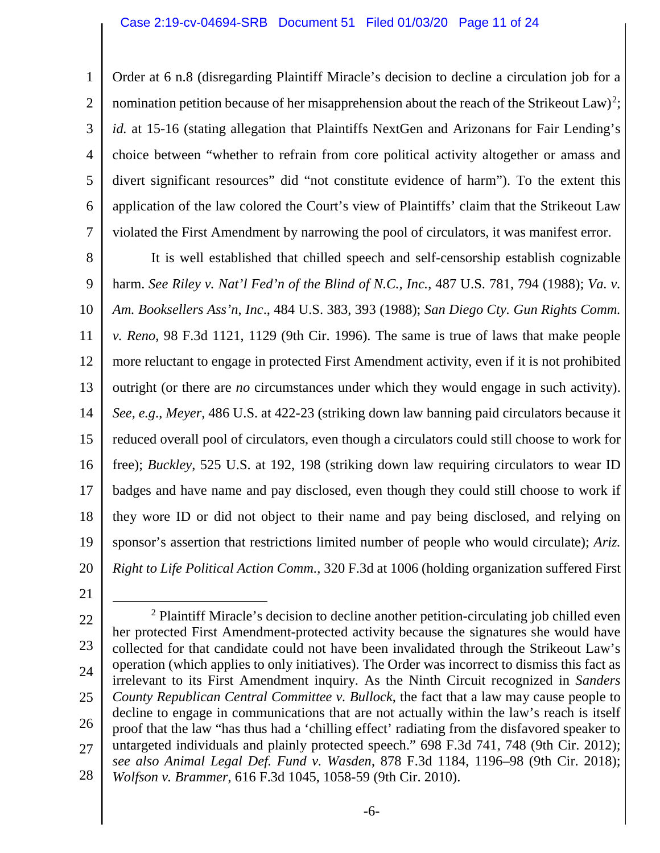1 2 3 4 5 6 7 Order at 6 n.8 (disregarding Plaintiff Miracle's decision to decline a circulation job for a nomination petition because of her misapprehension about the reach of the Strikeout Law)<sup>[2](#page-10-6)</sup>; *id.* at 15-16 (stating allegation that Plaintiffs NextGen and Arizonans for Fair Lending's choice between "whether to refrain from core political activity altogether or amass and divert significant resources" did "not constitute evidence of harm"). To the extent this application of the law colored the Court's view of Plaintiffs' claim that the Strikeout Law violated the First Amendment by narrowing the pool of circulators, it was manifest error.

<span id="page-10-4"></span><span id="page-10-3"></span><span id="page-10-2"></span>8 9 10 11 12 13 14 15 16 17 18 19 20 It is well established that chilled speech and self-censorship establish cognizable harm. *See Riley v. Nat'l Fed'n of the Blind of N.C., Inc.*, 487 U.S. 781, 794 (1988); *Va. v. Am. Booksellers Ass'n*, *Inc*., 484 U.S. 383, 393 (1988); *San Diego Cty. Gun Rights Comm. v. Reno*, 98 F.3d 1121, 1129 (9th Cir. 1996). The same is true of laws that make people more reluctant to engage in protected First Amendment activity, even if it is not prohibited outright (or there are *no* circumstances under which they would engage in such activity). *See, e.g*., *Meyer*, 486 U.S. at 422-23 (striking down law banning paid circulators because it reduced overall pool of circulators, even though a circulators could still choose to work for free); *Buckley*, 525 U.S. at 192, 198 (striking down law requiring circulators to wear ID badges and have name and pay disclosed, even though they could still choose to work if they wore ID or did not object to their name and pay being disclosed, and relying on sponsor's assertion that restrictions limited number of people who would circulate); *Ariz. Right to Life Political Action Comm.*, 320 F.3d at 1006 (holding organization suffered First

21

<span id="page-10-1"></span>-6-

<span id="page-10-6"></span><span id="page-10-5"></span><span id="page-10-0"></span><sup>22</sup> 23 24 25 26 27 28 <sup>2</sup> Plaintiff Miracle's decision to decline another petition-circulating job chilled even her protected First Amendment-protected activity because the signatures she would have collected for that candidate could not have been invalidated through the Strikeout Law's operation (which applies to only initiatives). The Order was incorrect to dismiss this fact as irrelevant to its First Amendment inquiry. As the Ninth Circuit recognized in *Sanders County Republican Central Committee v. Bullock*, the fact that a law may cause people to decline to engage in communications that are not actually within the law's reach is itself proof that the law "has thus had a 'chilling effect' radiating from the disfavored speaker to untargeted individuals and plainly protected speech." 698 F.3d 741, 748 (9th Cir. 2012); *see also Animal Legal Def. Fund v. Wasden*, 878 F.3d 1184, 1196–98 (9th Cir. 2018); *Wolfson v. Brammer*, 616 F.3d 1045, 1058-59 (9th Cir. 2010).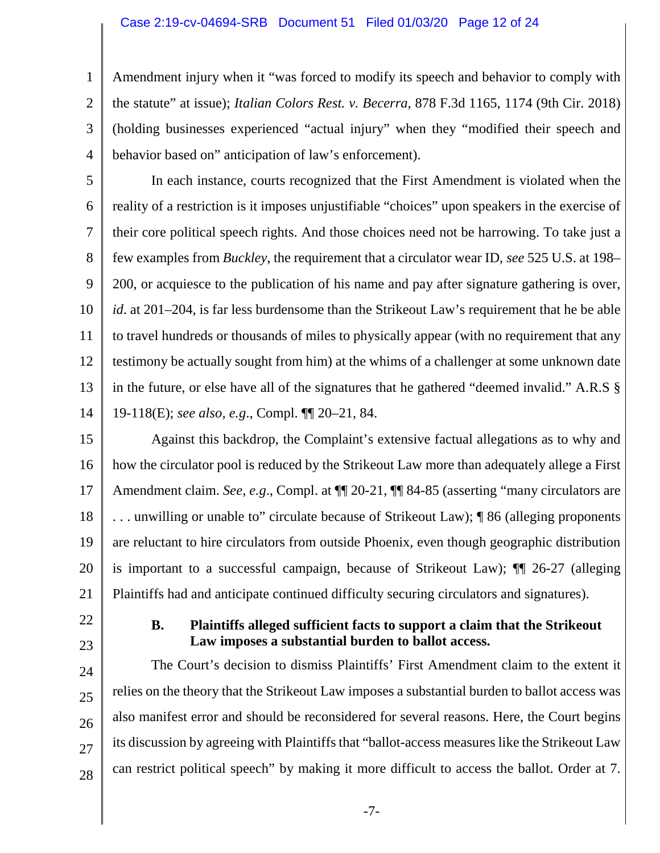2 3 4 Amendment injury when it "was forced to modify its speech and behavior to comply with the statute" at issue); *Italian Colors Rest. v. Becerra*, 878 F.3d 1165, 1174 (9th Cir. 2018) (holding businesses experienced "actual injury" when they "modified their speech and behavior based on" anticipation of law's enforcement).

5 6 7 8 9 10 11 12 13 14 In each instance, courts recognized that the First Amendment is violated when the reality of a restriction is it imposes unjustifiable "choices" upon speakers in the exercise of their core political speech rights. And those choices need not be harrowing. To take just a few examples from *Buckley*, the requirement that a circulator wear ID, *see* 525 U.S. at 198– 200, or acquiesce to the publication of his name and pay after signature gathering is over, *id*. at 201–204, is far less burdensome than the Strikeout Law's requirement that he be able to travel hundreds or thousands of miles to physically appear (with no requirement that any testimony be actually sought from him) at the whims of a challenger at some unknown date in the future, or else have all of the signatures that he gathered "deemed invalid." A.R.S § 19-118(E); *see also, e.g*., Compl. ¶¶ 20–21, 84.

15 16 17 18 19 20 21 Against this backdrop, the Complaint's extensive factual allegations as to why and how the circulator pool is reduced by the Strikeout Law more than adequately allege a First Amendment claim. *See, e.g*., Compl. at ¶¶ 20-21, ¶¶ 84-85 (asserting "many circulators are . . . unwilling or unable to" circulate because of Strikeout Law); ¶ 86 (alleging proponents are reluctant to hire circulators from outside Phoenix, even though geographic distribution is important to a successful campaign, because of Strikeout Law); ¶¶ 26-27 (alleging Plaintiffs had and anticipate continued difficulty securing circulators and signatures).

<span id="page-11-0"></span>22

<span id="page-11-1"></span>1

23

# **B. Plaintiffs alleged sufficient facts to support a claim that the Strikeout Law imposes a substantial burden to ballot access.**

24 25 26 27 28 The Court's decision to dismiss Plaintiffs' First Amendment claim to the extent it relies on the theory that the Strikeout Law imposes a substantial burden to ballot access was also manifest error and should be reconsidered for several reasons. Here, the Court begins its discussion by agreeing with Plaintiffs that "ballot-access measures like the Strikeout Law can restrict political speech" by making it more difficult to access the ballot. Order at 7.

<span id="page-11-2"></span>-7-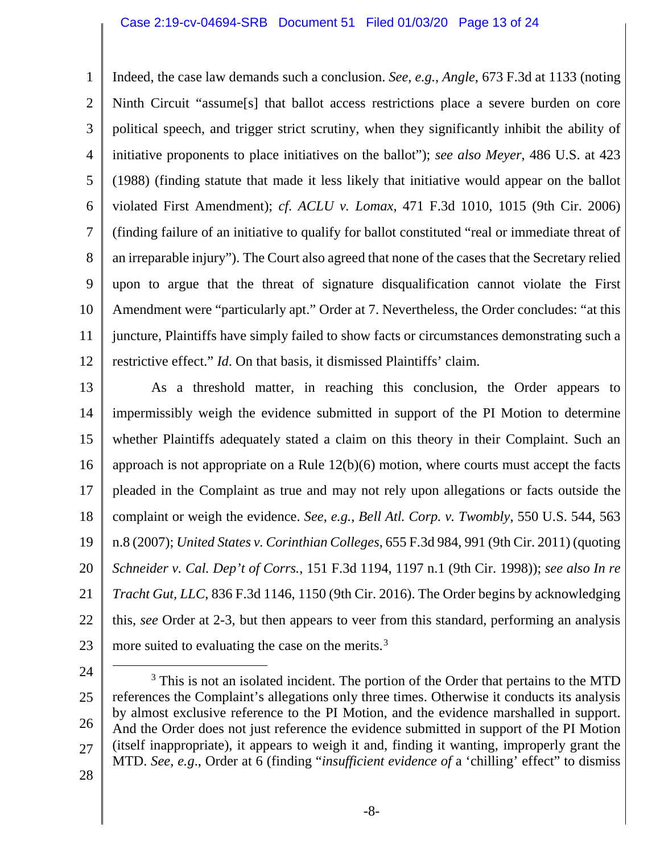## <span id="page-12-1"></span><span id="page-12-0"></span>Case 2:19-cv-04694-SRB Document 51 Filed 01/03/20 Page 13 of 24

1 2 3 4 5 6 7 8 9 10 11 12 Indeed, the case law demands such a conclusion. *See, e.g.*, *Angle*, 673 F.3d at 1133 (noting Ninth Circuit "assume[s] that ballot access restrictions place a severe burden on core political speech, and trigger strict scrutiny, when they significantly inhibit the ability of initiative proponents to place initiatives on the ballot"); *see also Meyer*, 486 U.S. at 423 (1988) (finding statute that made it less likely that initiative would appear on the ballot violated First Amendment); *cf*. *ACLU v. Lomax*, 471 F.3d 1010, 1015 (9th Cir. 2006) (finding failure of an initiative to qualify for ballot constituted "real or immediate threat of an irreparable injury"). The Court also agreed that none of the cases that the Secretary relied upon to argue that the threat of signature disqualification cannot violate the First Amendment were "particularly apt." Order at 7. Nevertheless, the Order concludes: "at this juncture, Plaintiffs have simply failed to show facts or circumstances demonstrating such a restrictive effect." *Id*. On that basis, it dismissed Plaintiffs' claim.

<span id="page-12-2"></span>13 14 15 16 17 18 19 20 21 22 23 As a threshold matter, in reaching this conclusion, the Order appears to impermissibly weigh the evidence submitted in support of the PI Motion to determine whether Plaintiffs adequately stated a claim on this theory in their Complaint. Such an approach is not appropriate on a Rule  $12(b)(6)$  motion, where courts must accept the facts pleaded in the Complaint as true and may not rely upon allegations or facts outside the complaint or weigh the evidence. *See*, *e.g.*, *Bell Atl. Corp. v. Twombly*, 550 U.S. 544, 563 n.8 (2007); *United States v. Corinthian Colleges*, 655 F.3d 984, 991 (9th Cir. 2011) (quoting *Schneider v. Cal. Dep't of Corrs.*, 151 F.3d 1194, 1197 n.1 (9th Cir. 1998)); *see also In re Tracht Gut, LLC*, 836 F.3d 1146, 1150 (9th Cir. 2016). The Order begins by acknowledging this, *see* Order at 2-3, but then appears to veer from this standard, performing an analysis more suited to evaluating the case on the merits.<sup>[3](#page-12-5)</sup>

28

<span id="page-12-5"></span><span id="page-12-4"></span><span id="page-12-3"></span><sup>24</sup> 25 26 27 <sup>3</sup> This is not an isolated incident. The portion of the Order that pertains to the MTD references the Complaint's allegations only three times. Otherwise it conducts its analysis by almost exclusive reference to the PI Motion, and the evidence marshalled in support. And the Order does not just reference the evidence submitted in support of the PI Motion (itself inappropriate), it appears to weigh it and, finding it wanting, improperly grant the MTD. *See, e.g*., Order at 6 (finding "*insufficient evidence of* a 'chilling' effect" to dismiss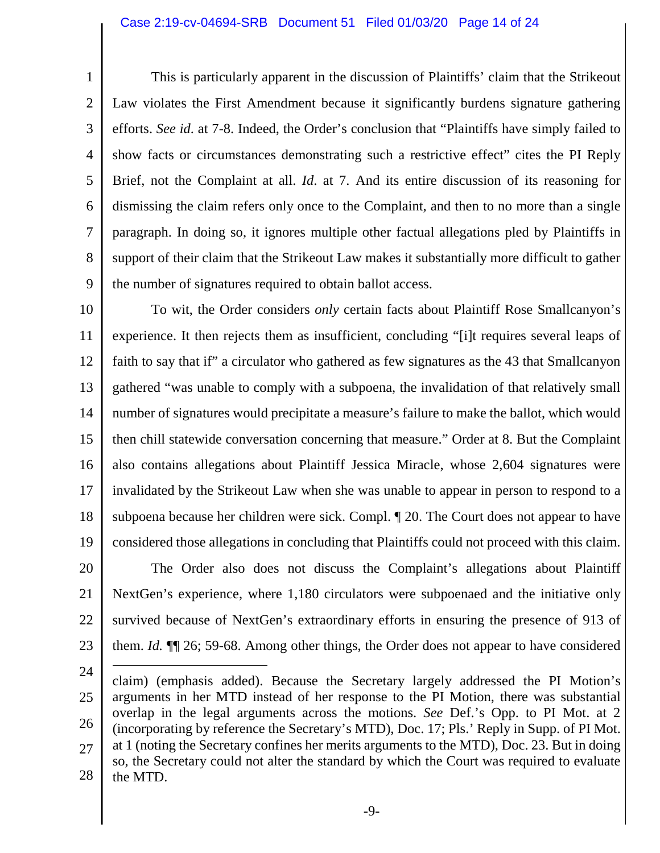## Case 2:19-cv-04694-SRB Document 51 Filed 01/03/20 Page 14 of 24

1 2 3 4 5 6 7 8 9 This is particularly apparent in the discussion of Plaintiffs' claim that the Strikeout Law violates the First Amendment because it significantly burdens signature gathering efforts. *See id*. at 7-8. Indeed, the Order's conclusion that "Plaintiffs have simply failed to show facts or circumstances demonstrating such a restrictive effect" cites the PI Reply Brief, not the Complaint at all. *Id*. at 7. And its entire discussion of its reasoning for dismissing the claim refers only once to the Complaint, and then to no more than a single paragraph. In doing so, it ignores multiple other factual allegations pled by Plaintiffs in support of their claim that the Strikeout Law makes it substantially more difficult to gather the number of signatures required to obtain ballot access.

10 11 12 13 14 15 16 17 18 19 20 21 22 23 To wit, the Order considers *only* certain facts about Plaintiff Rose Smallcanyon's experience. It then rejects them as insufficient, concluding "[i]t requires several leaps of faith to say that if" a circulator who gathered as few signatures as the 43 that Smallcanyon gathered "was unable to comply with a subpoena, the invalidation of that relatively small number of signatures would precipitate a measure's failure to make the ballot, which would then chill statewide conversation concerning that measure." Order at 8. But the Complaint also contains allegations about Plaintiff Jessica Miracle, whose 2,604 signatures were invalidated by the Strikeout Law when she was unable to appear in person to respond to a subpoena because her children were sick. Compl. ¶ 20. The Court does not appear to have considered those allegations in concluding that Plaintiffs could not proceed with this claim. The Order also does not discuss the Complaint's allegations about Plaintiff NextGen's experience, where 1,180 circulators were subpoenaed and the initiative only survived because of NextGen's extraordinary efforts in ensuring the presence of 913 of them. *Id.* ¶¶ 26; 59-68. Among other things, the Order does not appear to have considered

<sup>24</sup> 25 26 27 28  $\overline{a}$ claim) (emphasis added). Because the Secretary largely addressed the PI Motion's arguments in her MTD instead of her response to the PI Motion, there was substantial overlap in the legal arguments across the motions. *See* Def.'s Opp. to PI Mot. at 2 (incorporating by reference the Secretary's MTD), Doc. 17; Pls.' Reply in Supp. of PI Mot. at 1 (noting the Secretary confines her merits arguments to the MTD), Doc. 23. But in doing so, the Secretary could not alter the standard by which the Court was required to evaluate the MTD.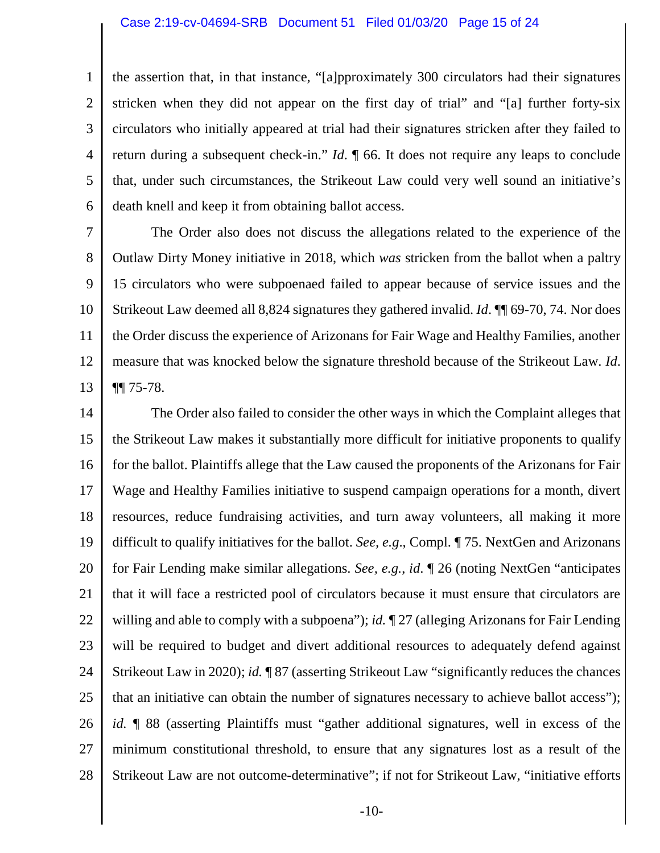### Case 2:19-cv-04694-SRB Document 51 Filed 01/03/20 Page 15 of 24

1 2 3 4 5 6 the assertion that, in that instance, "[a]pproximately 300 circulators had their signatures stricken when they did not appear on the first day of trial" and "[a] further forty-six circulators who initially appeared at trial had their signatures stricken after they failed to return during a subsequent check-in." *Id*. ¶ 66. It does not require any leaps to conclude that, under such circumstances, the Strikeout Law could very well sound an initiative's death knell and keep it from obtaining ballot access.

7 8 9 10 11 12 13 The Order also does not discuss the allegations related to the experience of the Outlaw Dirty Money initiative in 2018, which *was* stricken from the ballot when a paltry 15 circulators who were subpoenaed failed to appear because of service issues and the Strikeout Law deemed all 8,824 signatures they gathered invalid. *Id*. ¶¶ 69-70, 74. Nor does the Order discuss the experience of Arizonans for Fair Wage and Healthy Families, another measure that was knocked below the signature threshold because of the Strikeout Law. *Id*. ¶¶ 75-78.

14 15 16 17 18 19 20 21 22 23 24 25 26 27 28 The Order also failed to consider the other ways in which the Complaint alleges that the Strikeout Law makes it substantially more difficult for initiative proponents to qualify for the ballot. Plaintiffs allege that the Law caused the proponents of the Arizonans for Fair Wage and Healthy Families initiative to suspend campaign operations for a month, divert resources, reduce fundraising activities, and turn away volunteers, all making it more difficult to qualify initiatives for the ballot. *See, e.g*., Compl. ¶ 75. NextGen and Arizonans for Fair Lending make similar allegations. *See, e.g.*, *id*. ¶ 26 (noting NextGen "anticipates that it will face a restricted pool of circulators because it must ensure that circulators are willing and able to comply with a subpoena"); *id.* ¶ 27 (alleging Arizonans for Fair Lending will be required to budget and divert additional resources to adequately defend against Strikeout Law in 2020); *id.* ¶ 87 (asserting Strikeout Law "significantly reduces the chances that an initiative can obtain the number of signatures necessary to achieve ballot access"); *id.* ¶ 88 (asserting Plaintiffs must "gather additional signatures, well in excess of the minimum constitutional threshold, to ensure that any signatures lost as a result of the Strikeout Law are not outcome-determinative"; if not for Strikeout Law, "initiative efforts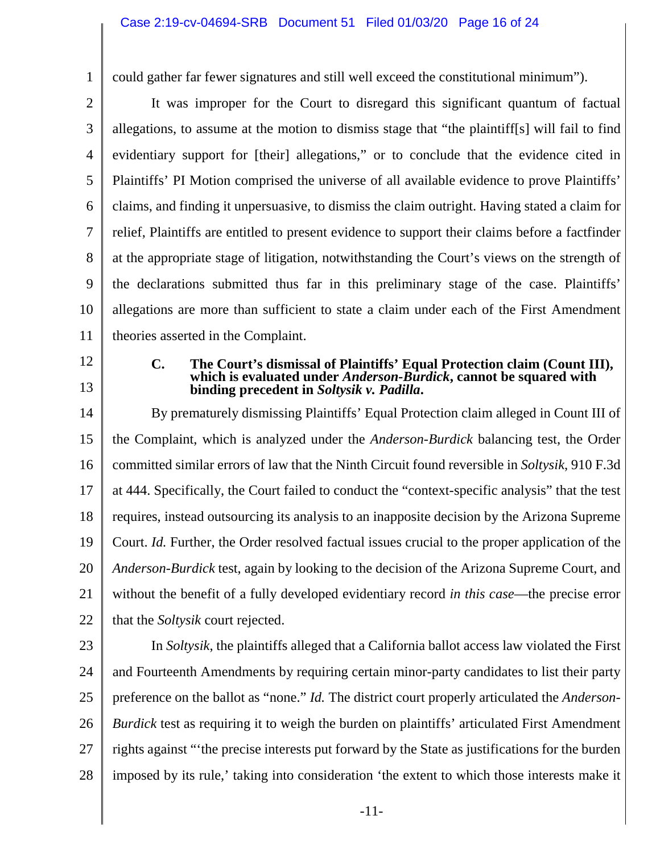1

could gather far fewer signatures and still well exceed the constitutional minimum").

2 3 4 5 6 7 8 9 10 11 It was improper for the Court to disregard this significant quantum of factual allegations, to assume at the motion to dismiss stage that "the plaintiff[s] will fail to find evidentiary support for [their] allegations," or to conclude that the evidence cited in Plaintiffs' PI Motion comprised the universe of all available evidence to prove Plaintiffs' claims, and finding it unpersuasive, to dismiss the claim outright. Having stated a claim for relief, Plaintiffs are entitled to present evidence to support their claims before a factfinder at the appropriate stage of litigation, notwithstanding the Court's views on the strength of the declarations submitted thus far in this preliminary stage of the case. Plaintiffs' allegations are more than sufficient to state a claim under each of the First Amendment theories asserted in the Complaint.

<span id="page-15-0"></span>12

13

**C. The Court's dismissal of Plaintiffs' Equal Protection claim (Count III), which is evaluated under** *Anderson-Burdick***, cannot be squared with binding precedent in** *Soltysik v. Padilla***.**

14 15 16 17 18 19 20 21 22 By prematurely dismissing Plaintiffs' Equal Protection claim alleged in Count III of the Complaint, which is analyzed under the *Anderson-Burdick* balancing test, the Order committed similar errors of law that the Ninth Circuit found reversible in *Soltysik*, 910 F.3d at 444. Specifically, the Court failed to conduct the "context-specific analysis" that the test requires, instead outsourcing its analysis to an inapposite decision by the Arizona Supreme Court. *Id.* Further, the Order resolved factual issues crucial to the proper application of the *Anderson-Burdick* test, again by looking to the decision of the Arizona Supreme Court, and without the benefit of a fully developed evidentiary record *in this case*—the precise error that the *Soltysik* court rejected.

23

24 25 26 27 28 In *Soltysik*, the plaintiffs alleged that a California ballot access law violated the First and Fourteenth Amendments by requiring certain minor-party candidates to list their party preference on the ballot as "none." *Id.* The district court properly articulated the *Anderson-Burdick* test as requiring it to weigh the burden on plaintiffs' articulated First Amendment rights against "'the precise interests put forward by the State as justifications for the burden imposed by its rule,' taking into consideration 'the extent to which those interests make it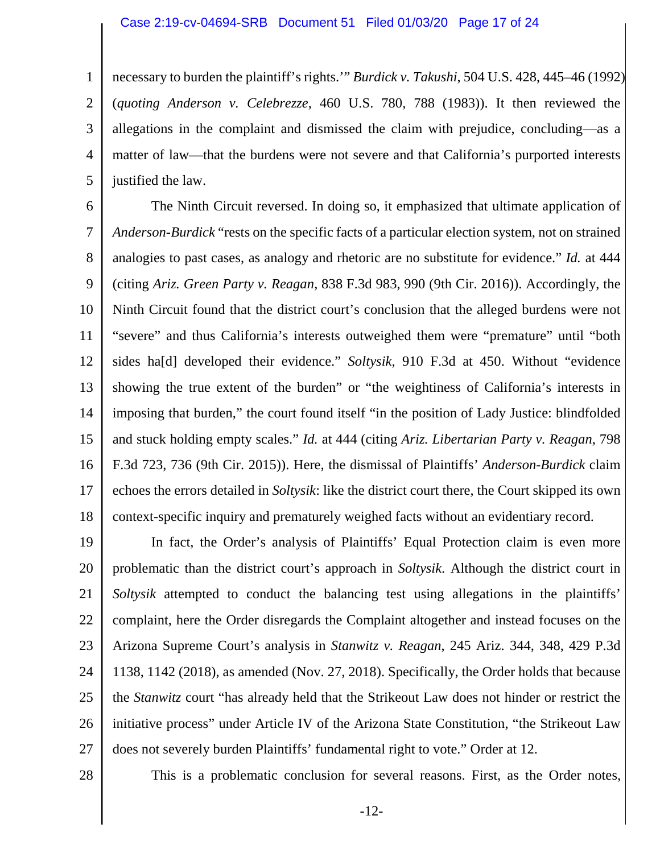<span id="page-16-0"></span>1 2 3 4 5 necessary to burden the plaintiff's rights.'" *Burdick v. Takushi*, 504 U.S. 428, 445–46 (1992) (*quoting Anderson v. Celebrezze*, 460 U.S. 780, 788 (1983)). It then reviewed the allegations in the complaint and dismissed the claim with prejudice, concluding—as a matter of law—that the burdens were not severe and that California's purported interests justified the law.

6 7 8 9 10 11 12 13 14 15 16 17 18 The Ninth Circuit reversed. In doing so, it emphasized that ultimate application of *Anderson-Burdick* "rests on the specific facts of a particular election system, not on strained analogies to past cases, as analogy and rhetoric are no substitute for evidence." *Id.* at 444 (citing *Ariz. Green Party v. Reagan*, 838 F.3d 983, 990 (9th Cir. 2016)). Accordingly, the Ninth Circuit found that the district court's conclusion that the alleged burdens were not "severe" and thus California's interests outweighed them were "premature" until "both sides ha[d] developed their evidence." *Soltysik*, 910 F.3d at 450. Without "evidence showing the true extent of the burden" or "the weightiness of California's interests in imposing that burden," the court found itself "in the position of Lady Justice: blindfolded and stuck holding empty scales." *Id.* at 444 (citing *Ariz. Libertarian Party v. Reagan*, 798 F.3d 723, 736 (9th Cir. 2015)). Here, the dismissal of Plaintiffs' *Anderson-Burdick* claim echoes the errors detailed in *Soltysik*: like the district court there, the Court skipped its own context-specific inquiry and prematurely weighed facts without an evidentiary record.

19 20 21 22 23 24 25 26 27 In fact, the Order's analysis of Plaintiffs' Equal Protection claim is even more problematic than the district court's approach in *Soltysik*. Although the district court in *Soltysik* attempted to conduct the balancing test using allegations in the plaintiffs' complaint, here the Order disregards the Complaint altogether and instead focuses on the Arizona Supreme Court's analysis in *Stanwitz v. Reagan*, 245 Ariz. 344, 348, 429 P.3d 1138, 1142 (2018), as amended (Nov. 27, 2018). Specifically, the Order holds that because the *Stanwitz* court "has already held that the Strikeout Law does not hinder or restrict the initiative process" under Article IV of the Arizona State Constitution, "the Strikeout Law does not severely burden Plaintiffs' fundamental right to vote." Order at 12.

28

<span id="page-16-1"></span>This is a problematic conclusion for several reasons. First, as the Order notes,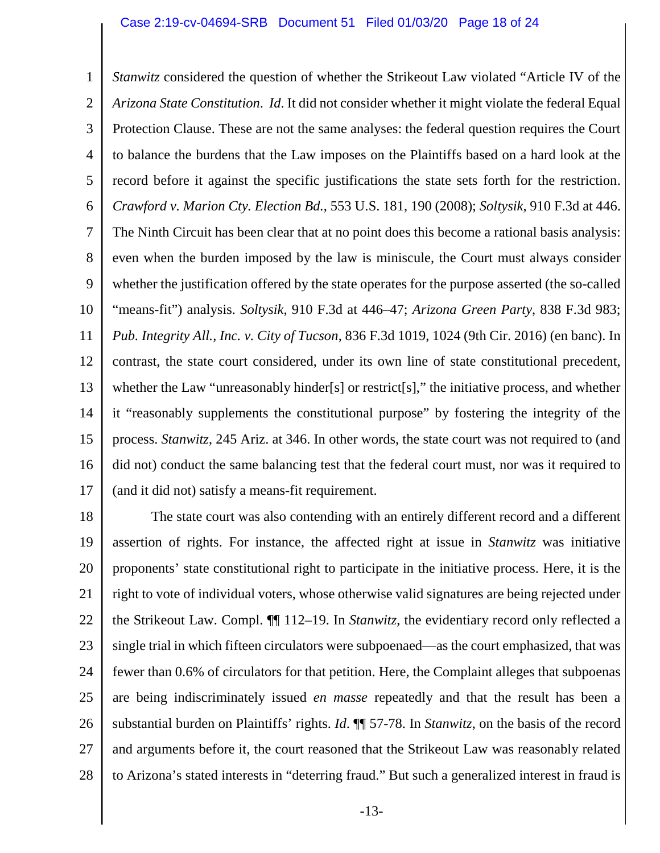<span id="page-17-3"></span><span id="page-17-1"></span>1 2 3 4 5 6 7 8 9 10 11 12 13 14 15 16 17 *Stanwitz* considered the question of whether the Strikeout Law violated "Article IV of the *Arizona State Constitution*. *Id*. It did not consider whether it might violate the federal Equal Protection Clause. These are not the same analyses: the federal question requires the Court to balance the burdens that the Law imposes on the Plaintiffs based on a hard look at the record before it against the specific justifications the state sets forth for the restriction. *Crawford v. Marion Cty. Election Bd.*, 553 U.S. 181, 190 (2008); *Soltysik*, 910 F.3d at 446. The Ninth Circuit has been clear that at no point does this become a rational basis analysis: even when the burden imposed by the law is miniscule, the Court must always consider whether the justification offered by the state operates for the purpose asserted (the so-called "means-fit") analysis. *Soltysik*, 910 F.3d at 446–47; *Arizona Green Party*, 838 F.3d 983; *Pub. Integrity All., Inc. v. City of Tucson*, 836 F.3d 1019, 1024 (9th Cir. 2016) (en banc). In contrast, the state court considered, under its own line of state constitutional precedent, whether the Law "unreasonably hinder[s] or restrict[s]," the initiative process, and whether it "reasonably supplements the constitutional purpose" by fostering the integrity of the process. *Stanwitz*, 245 Ariz. at 346. In other words, the state court was not required to (and did not) conduct the same balancing test that the federal court must, nor was it required to (and it did not) satisfy a means-fit requirement.

<span id="page-17-2"></span><span id="page-17-0"></span>18 19 20 21 22 23 24 25 26 27 28 The state court was also contending with an entirely different record and a different assertion of rights. For instance, the affected right at issue in *Stanwitz* was initiative proponents' state constitutional right to participate in the initiative process. Here, it is the right to vote of individual voters, whose otherwise valid signatures are being rejected under the Strikeout Law. Compl. ¶¶ 112–19. In *Stanwitz*, the evidentiary record only reflected a single trial in which fifteen circulators were subpoenaed—as the court emphasized, that was fewer than 0.6% of circulators for that petition. Here, the Complaint alleges that subpoenas are being indiscriminately issued *en masse* repeatedly and that the result has been a substantial burden on Plaintiffs' rights. *Id*. ¶¶ 57-78. In *Stanwitz*, on the basis of the record and arguments before it, the court reasoned that the Strikeout Law was reasonably related to Arizona's stated interests in "deterring fraud." But such a generalized interest in fraud is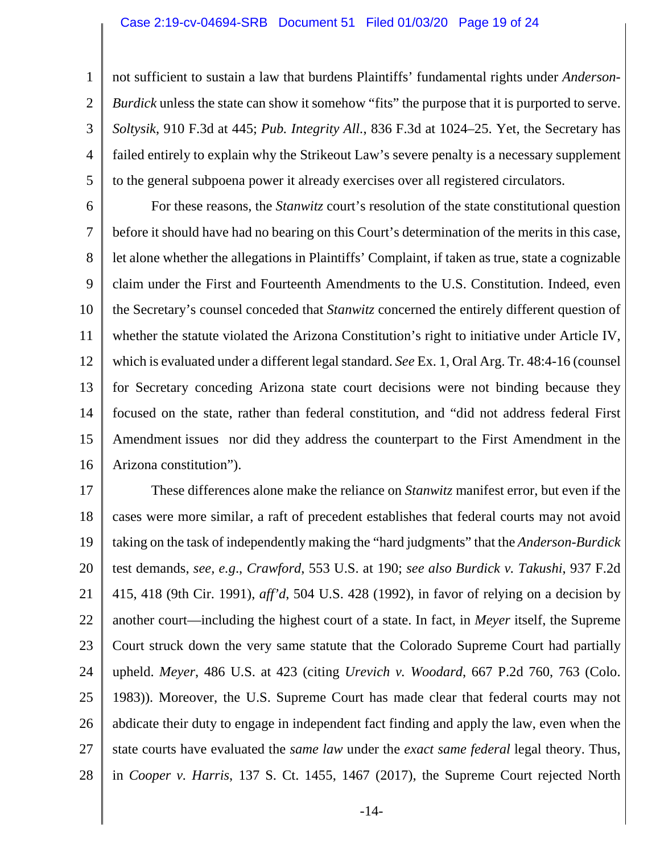### <span id="page-18-3"></span>Case 2:19-cv-04694-SRB Document 51 Filed 01/03/20 Page 19 of 24

1 2 3 4 5 not sufficient to sustain a law that burdens Plaintiffs' fundamental rights under *Anderson-Burdick* unless the state can show it somehow "fits" the purpose that it is purported to serve. *Soltysik*, 910 F.3d at 445; *Pub. Integrity All.*, 836 F.3d at 1024–25. Yet, the Secretary has failed entirely to explain why the Strikeout Law's severe penalty is a necessary supplement to the general subpoena power it already exercises over all registered circulators.

<span id="page-18-4"></span>6 7 8 9 10 11 12 13 14 15 16 For these reasons, the *Stanwitz* court's resolution of the state constitutional question before it should have had no bearing on this Court's determination of the merits in this case, let alone whether the allegations in Plaintiffs' Complaint, if taken as true, state a cognizable claim under the First and Fourteenth Amendments to the U.S. Constitution. Indeed, even the Secretary's counsel conceded that *Stanwitz* concerned the entirely different question of whether the statute violated the Arizona Constitution's right to initiative under Article IV, which is evaluated under a different legal standard. *See* Ex. 1, Oral Arg. Tr. 48:4-16 (counsel for Secretary conceding Arizona state court decisions were not binding because they focused on the state, rather than federal constitution, and "did not address federal First Amendment issues nor did they address the counterpart to the First Amendment in the Arizona constitution").

<span id="page-18-2"></span>17 18 19 20 21 22 23 24 25 26 27 28 These differences alone make the reliance on *Stanwitz* manifest error, but even if the cases were more similar, a raft of precedent establishes that federal courts may not avoid taking on the task of independently making the "hard judgments" that the *Anderson-Burdick*  test demands, *see, e.g*., *Crawford*, 553 U.S. at 190; *see also Burdick v. Takushi*, 937 F.2d 415, 418 (9th Cir. 1991), *aff'd*, 504 U.S. 428 (1992), in favor of relying on a decision by another court—including the highest court of a state. In fact, in *Meyer* itself, the Supreme Court struck down the very same statute that the Colorado Supreme Court had partially upheld. *Meyer*, 486 U.S. at 423 (citing *Urevich v. Woodard*, 667 P.2d 760, 763 (Colo. 1983)). Moreover, the U.S. Supreme Court has made clear that federal courts may not abdicate their duty to engage in independent fact finding and apply the law, even when the state courts have evaluated the *same law* under the *exact same federal* legal theory. Thus, in *Cooper v. Harris*, 137 S. Ct. 1455, 1467 (2017), the Supreme Court rejected North

<span id="page-18-1"></span><span id="page-18-0"></span>-14-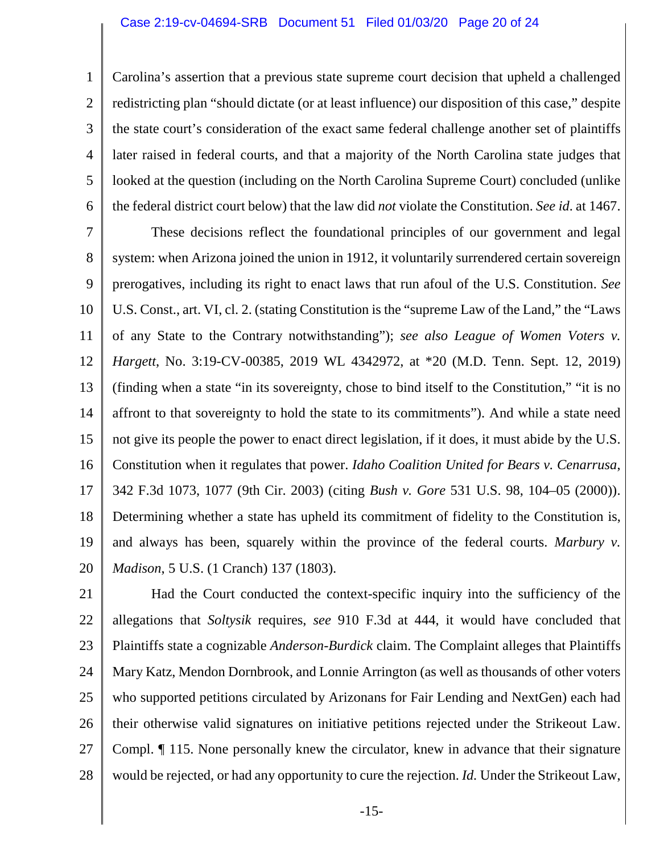1 2 3 4 5 6 Carolina's assertion that a previous state supreme court decision that upheld a challenged redistricting plan "should dictate (or at least influence) our disposition of this case," despite the state court's consideration of the exact same federal challenge another set of plaintiffs later raised in federal courts, and that a majority of the North Carolina state judges that looked at the question (including on the North Carolina Supreme Court) concluded (unlike the federal district court below) that the law did *not* violate the Constitution. *See id*. at 1467.

<span id="page-19-1"></span>7 8 9 10 11 12 13 14 15 16 17 18 19 20 These decisions reflect the foundational principles of our government and legal system: when Arizona joined the union in 1912, it voluntarily surrendered certain sovereign prerogatives, including its right to enact laws that run afoul of the U.S. Constitution. *See* U.S. Const., art. VI, cl. 2. (stating Constitution is the "supreme Law of the Land," the "Laws of any State to the Contrary notwithstanding"); *see also League of Women Voters v. Hargett*, No. 3:19-CV-00385, 2019 WL 4342972, at \*20 (M.D. Tenn. Sept. 12, 2019) (finding when a state "in its sovereignty, chose to bind itself to the Constitution," "it is no affront to that sovereignty to hold the state to its commitments"). And while a state need not give its people the power to enact direct legislation, if it does, it must abide by the U.S. Constitution when it regulates that power. *Idaho Coalition United for Bears v. Cenarrusa*, 342 F.3d 1073, 1077 (9th Cir. 2003) (citing *Bush v. Gore* 531 U.S. 98, 104–05 (2000)). Determining whether a state has upheld its commitment of fidelity to the Constitution is, and always has been, squarely within the province of the federal courts. *Marbury v. Madison*, 5 U.S. (1 Cranch) 137 (1803).

<span id="page-19-0"></span>21 22 23 24 25 26 27 28 Had the Court conducted the context-specific inquiry into the sufficiency of the allegations that *Soltysik* requires, *see* 910 F.3d at 444, it would have concluded that Plaintiffs state a cognizable *Anderson-Burdick* claim. The Complaint alleges that Plaintiffs Mary Katz, Mendon Dornbrook, and Lonnie Arrington (as well as thousands of other voters who supported petitions circulated by Arizonans for Fair Lending and NextGen) each had their otherwise valid signatures on initiative petitions rejected under the Strikeout Law. Compl. ¶ 115. None personally knew the circulator, knew in advance that their signature would be rejected, or had any opportunity to cure the rejection. *Id.* Under the Strikeout Law,

<span id="page-19-2"></span>-15-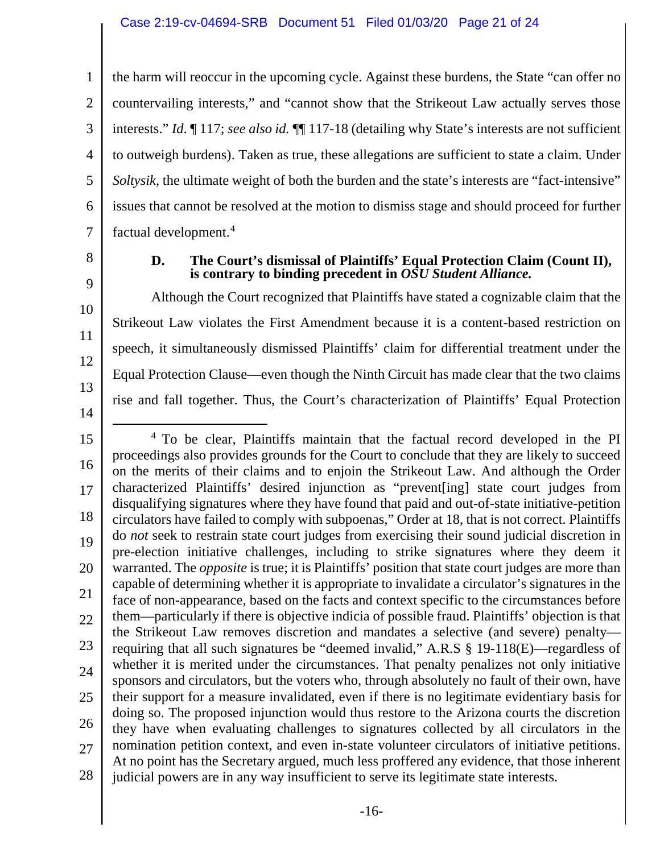1 2 3 4 5 6 7 the harm will reoccur in the upcoming cycle. Against these burdens, the State "can offer no countervailing interests," and "cannot show that the Strikeout Law actually serves those interests." *Id*. ¶ 117; *see also id.* ¶¶ 117-18 (detailing why State's interests are not sufficient to outweigh burdens). Taken as true, these allegations are sufficient to state a claim. Under *Soltysik*, the ultimate weight of both the burden and the state's interests are "fact-intensive" issues that cannot be resolved at the motion to dismiss stage and should proceed for further factual development.[4](#page-20-3)

<span id="page-20-0"></span>8 9

10

11

12

13

# <span id="page-20-1"></span>**D. The Court's dismissal of Plaintiffs' Equal Protection Claim (Count II), is contrary to binding precedent in** *OSU Student Alliance.*

Although the Court recognized that Plaintiffs have stated a cognizable claim that the Strikeout Law violates the First Amendment because it is a content-based restriction on speech, it simultaneously dismissed Plaintiffs' claim for differential treatment under the Equal Protection Clause—even though the Ninth Circuit has made clear that the two claims rise and fall together. Thus, the Court's characterization of Plaintiffs' Equal Protection

14

<span id="page-20-3"></span><span id="page-20-2"></span>15 16 17 18 19 20 21 22 23 24 25 26 27 28 4 To be clear, Plaintiffs maintain that the factual record developed in the PI proceedings also provides grounds for the Court to conclude that they are likely to succeed on the merits of their claims and to enjoin the Strikeout Law. And although the Order characterized Plaintiffs' desired injunction as "prevent[ing] state court judges from disqualifying signatures where they have found that paid and out-of-state initiative-petition circulators have failed to comply with subpoenas," Order at 18, that is not correct. Plaintiffs do *not* seek to restrain state court judges from exercising their sound judicial discretion in pre-election initiative challenges, including to strike signatures where they deem it warranted. The *opposite* is true; it is Plaintiffs' position that state court judges are more than capable of determining whether it is appropriate to invalidate a circulator's signatures in the face of non-appearance, based on the facts and context specific to the circumstances before them—particularly if there is objective indicia of possible fraud. Plaintiffs' objection is that the Strikeout Law removes discretion and mandates a selective (and severe) penalty requiring that all such signatures be "deemed invalid," A.R.S § 19-118(E)—regardless of whether it is merited under the circumstances. That penalty penalizes not only initiative sponsors and circulators, but the voters who, through absolutely no fault of their own, have their support for a measure invalidated, even if there is no legitimate evidentiary basis for doing so. The proposed injunction would thus restore to the Arizona courts the discretion they have when evaluating challenges to signatures collected by all circulators in the nomination petition context, and even in-state volunteer circulators of initiative petitions. At no point has the Secretary argued, much less proffered any evidence, that those inherent judicial powers are in any way insufficient to serve its legitimate state interests.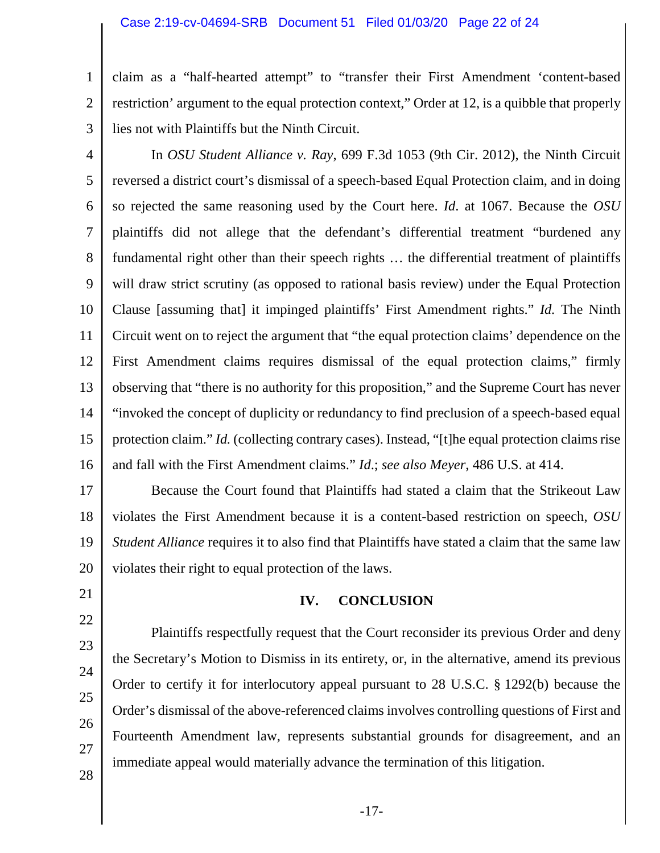1 2 3 claim as a "half-hearted attempt" to "transfer their First Amendment 'content-based restriction' argument to the equal protection context," Order at 12, is a quibble that properly lies not with Plaintiffs but the Ninth Circuit.

<span id="page-21-1"></span>

4 5 6 7 8 9 10 11 12 13 14 15 16 In *OSU Student Alliance v. Ray*, 699 F.3d 1053 (9th Cir. 2012), the Ninth Circuit reversed a district court's dismissal of a speech-based Equal Protection claim, and in doing so rejected the same reasoning used by the Court here. *Id*. at 1067. Because the *OSU* plaintiffs did not allege that the defendant's differential treatment "burdened any fundamental right other than their speech rights … the differential treatment of plaintiffs will draw strict scrutiny (as opposed to rational basis review) under the Equal Protection Clause [assuming that] it impinged plaintiffs' First Amendment rights." *Id.* The Ninth Circuit went on to reject the argument that "the equal protection claims' dependence on the First Amendment claims requires dismissal of the equal protection claims," firmly observing that "there is no authority for this proposition," and the Supreme Court has never "invoked the concept of duplicity or redundancy to find preclusion of a speech-based equal protection claim." *Id.* (collecting contrary cases). Instead, "[t]he equal protection claims rise and fall with the First Amendment claims." *Id*.; *see also Meyer*, 486 U.S. at 414.

17 18 19 20 Because the Court found that Plaintiffs had stated a claim that the Strikeout Law violates the First Amendment because it is a content-based restriction on speech, *OSU Student Alliance* requires it to also find that Plaintiffs have stated a claim that the same law violates their right to equal protection of the laws.

<span id="page-21-0"></span>21

22

23

24

25

26

27

# <span id="page-21-2"></span>**IV. CONCLUSION**

Plaintiffs respectfully request that the Court reconsider its previous Order and deny the Secretary's Motion to Dismiss in its entirety, or, in the alternative, amend its previous Order to certify it for interlocutory appeal pursuant to 28 U.S.C. § 1292(b) because the Order's dismissal of the above-referenced claims involves controlling questions of First and Fourteenth Amendment law, represents substantial grounds for disagreement, and an immediate appeal would materially advance the termination of this litigation.

28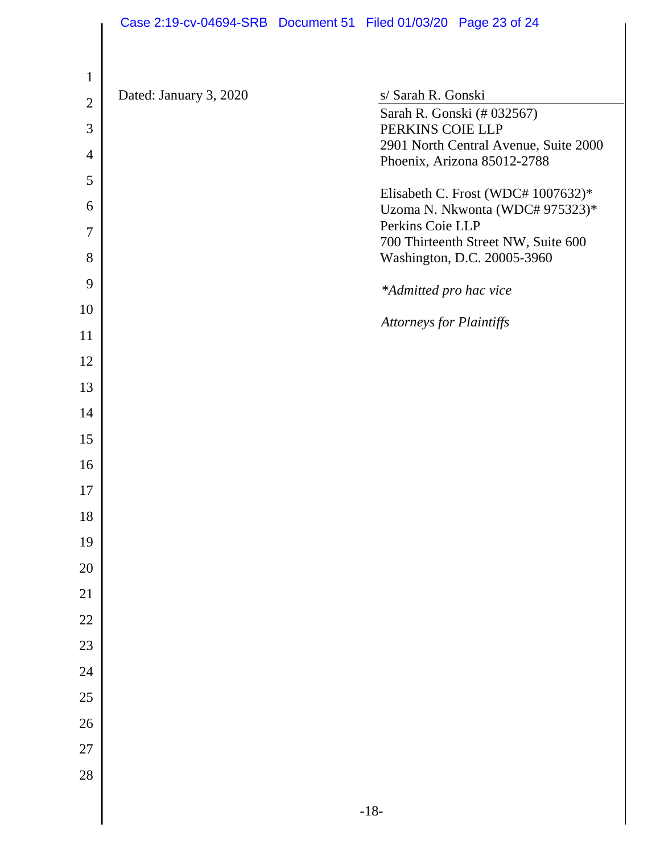|                |                        | Case 2:19-cv-04694-SRB Document 51 Filed 01/03/20 Page 23 of 24      |  |
|----------------|------------------------|----------------------------------------------------------------------|--|
|                |                        |                                                                      |  |
| $\mathbf{1}$   |                        |                                                                      |  |
| $\mathbf{2}$   | Dated: January 3, 2020 | s/ Sarah R. Gonski<br>Sarah R. Gonski (# 032567)                     |  |
| 3              |                        | PERKINS COIE LLP                                                     |  |
| $\overline{4}$ |                        | 2901 North Central Avenue, Suite 2000<br>Phoenix, Arizona 85012-2788 |  |
| 5              |                        | Elisabeth C. Frost (WDC# 1007632)*                                   |  |
| 6              |                        | Uzoma N. Nkwonta (WDC# 975323)*                                      |  |
| 7              |                        | Perkins Coie LLP<br>700 Thirteenth Street NW, Suite 600              |  |
| 8              |                        | Washington, D.C. 20005-3960                                          |  |
| 9              |                        | *Admitted pro hac vice                                               |  |
| 10             |                        | <b>Attorneys for Plaintiffs</b>                                      |  |
| 11             |                        |                                                                      |  |
| 12             |                        |                                                                      |  |
| 13             |                        |                                                                      |  |
| 14             |                        |                                                                      |  |
| 15             |                        |                                                                      |  |
| 16             |                        |                                                                      |  |
| 17             |                        |                                                                      |  |
| 18             |                        |                                                                      |  |
| 19             |                        |                                                                      |  |
| $20\,$         |                        |                                                                      |  |
| $21\,$         |                        |                                                                      |  |
| $22\,$         |                        |                                                                      |  |
| $23\,$         |                        |                                                                      |  |
| 24             |                        |                                                                      |  |
| 25             |                        |                                                                      |  |
| 26             |                        |                                                                      |  |
| $27\,$<br>28   |                        |                                                                      |  |
|                |                        |                                                                      |  |